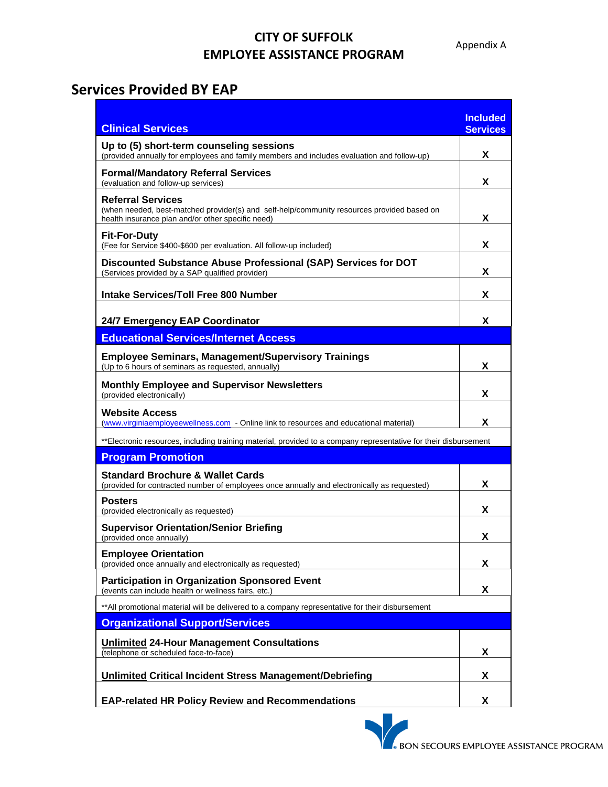## **CITY OF SUFFOLK EMPLOYEE ASSISTANCE PROGRAM**

## **Services Provided BY EAP**

| <b>Clinical Services</b>                                                                                                                                                    | <b>Included</b><br><b>Services</b> |
|-----------------------------------------------------------------------------------------------------------------------------------------------------------------------------|------------------------------------|
| Up to (5) short-term counseling sessions<br>(provided annually for employees and family members and includes evaluation and follow-up)                                      | X                                  |
| <b>Formal/Mandatory Referral Services</b><br>(evaluation and follow-up services)                                                                                            | x                                  |
| <b>Referral Services</b><br>(when needed, best-matched provider(s) and self-help/community resources provided based on<br>health insurance plan and/or other specific need) | x                                  |
| <b>Fit-For-Duty</b><br>(Fee for Service \$400-\$600 per evaluation. All follow-up included)                                                                                 | X                                  |
| Discounted Substance Abuse Professional (SAP) Services for DOT<br>(Services provided by a SAP qualified provider)                                                           | X                                  |
| <b>Intake Services/Toll Free 800 Number</b>                                                                                                                                 | X                                  |
| 24/7 Emergency EAP Coordinator                                                                                                                                              | x                                  |
| <b>Educational Services/Internet Access</b>                                                                                                                                 |                                    |
| <b>Employee Seminars, Management/Supervisory Trainings</b><br>(Up to 6 hours of seminars as requested, annually)                                                            | X                                  |
| <b>Monthly Employee and Supervisor Newsletters</b><br>(provided electronically)                                                                                             | X                                  |
| <b>Website Access</b><br>(www.virginiaemployeewellness.com - Online link to resources and educational material)                                                             | X                                  |
| **Electronic resources, including training material, provided to a company representative for their disbursement                                                            |                                    |
| <b>Program Promotion</b>                                                                                                                                                    |                                    |
| <b>Standard Brochure &amp; Wallet Cards</b><br>(provided for contracted number of employees once annually and electronically as requested)                                  | X                                  |
| <b>Posters</b><br>(provided electronically as requested)                                                                                                                    | X                                  |
| <b>Supervisor Orientation/Senior Briefing</b><br>(provided once annually)                                                                                                   | X                                  |
| <b>Employee Orientation</b><br>(provided once annually and electronically as requested)                                                                                     | X                                  |
| <b>Participation in Organization Sponsored Event</b><br>(events can include health or wellness fairs, etc.)                                                                 | X                                  |
| **All promotional material will be delivered to a company representative for their disbursement                                                                             |                                    |
| <b>Organizational Support/Services</b>                                                                                                                                      |                                    |
| <b>Unlimited 24-Hour Management Consultations</b><br>(telephone or scheduled face-to-face)                                                                                  | X                                  |
| <b>Unlimited Critical Incident Stress Management/Debriefing</b>                                                                                                             | X                                  |
| <b>EAP-related HR Policy Review and Recommendations</b>                                                                                                                     | X                                  |